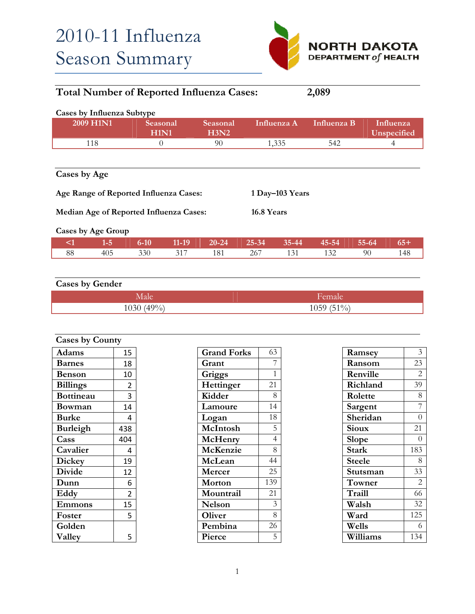

| <b>Total Number of Reported Influenza Cases:</b><br>2,089                   |           |                         |       |                  |           |             |             |       |                          |
|-----------------------------------------------------------------------------|-----------|-------------------------|-------|------------------|-----------|-------------|-------------|-------|--------------------------|
| Cases by Influenza Subtype                                                  |           |                         |       |                  |           |             |             |       |                          |
|                                                                             | 2009 H1N1 | Seasonal<br><b>H1N1</b> |       | Seasonal<br>H3N2 |           | Influenza A | Influenza B |       | Influenza<br>Unspecified |
|                                                                             | 118       | $\theta$                |       | 90               |           | 1,335       | 542         |       | 4                        |
| Cases by Age<br>Age Range of Reported Influenza Cases:<br>1 Day-103 Years   |           |                         |       |                  |           |             |             |       |                          |
| 16.8 Years<br>Median Age of Reported Influenza Cases:<br>Cases by Age Group |           |                         |       |                  |           |             |             |       |                          |
| $\leq$ 1                                                                    | $1-5$     | $6-10$                  | 11-19 | $20 - 24$        | $25 - 34$ | $35 - 44$   | $45 - 54$   | 55-64 | $65+$                    |
| 88                                                                          | 405       | 330                     | 317   | 181              | 267       | 131         | 132         | 90    | 148                      |

## **Cases by Gender**

| 400 | 0/2      |
|-----|----------|
| 0   | $\alpha$ |

| <b>Cases by County</b> |                         |  |
|------------------------|-------------------------|--|
| <b>Adams</b>           | 15                      |  |
| <b>Barnes</b>          | 18                      |  |
| <b>Benson</b>          | 10                      |  |
| <b>Billings</b>        | $\overline{\mathbf{c}}$ |  |
| <b>Bottineau</b>       | 3                       |  |
| Bowman                 | 14                      |  |
| <b>Burke</b>           | 4                       |  |
| Burleigh               | 438                     |  |
| Cass                   | 404                     |  |
| Cavalier               | 4                       |  |
| <b>Dickey</b>          | 19                      |  |
| <b>Divide</b>          | 12                      |  |
| Dunn                   | 6                       |  |
| Eddy                   | $\overline{2}$          |  |
| <b>Emmons</b>          | 15                      |  |
| Foster                 | 5                       |  |
| Golden                 |                         |  |
| Valley                 | 5                       |  |

| <b>Grand Forks</b> | 63             |
|--------------------|----------------|
| Grant              | 7              |
| Griggs             | 1              |
| Hettinger          | 21             |
| Kidder             | 8              |
| Lamoure            | 14             |
| Logan              | 18             |
| McIntosh           | 5              |
| McHenry            | $\overline{4}$ |
| McKenzie           | 8              |
| McLean             | 44             |
| Mercer             | 2.5            |
| Morton             | 139            |
| Mountrail          | 21             |
| <b>Nelson</b>      | 3              |
| Oliver             | 8              |
| Pembina            | 26             |
| Pierce             | 5              |
|                    |                |

| Ramsey        | 3              |
|---------------|----------------|
| Ransom        | 23             |
| Renville      | $\overline{2}$ |
| Richland      | 39             |
| Rolette       | 8              |
| Sargent       | 7              |
| Sheridan      | $\theta$       |
| Sioux         | 21             |
| Slope         | $\theta$       |
| <b>Stark</b>  | 183            |
| <b>Steele</b> | 8              |
| Stutsman      | 33             |
| Towner        | $\overline{2}$ |
| Traill        | 66             |
| Walsh         | 32             |
| Ward          | 125            |
| Wells         | 6              |
| Williams      | 134            |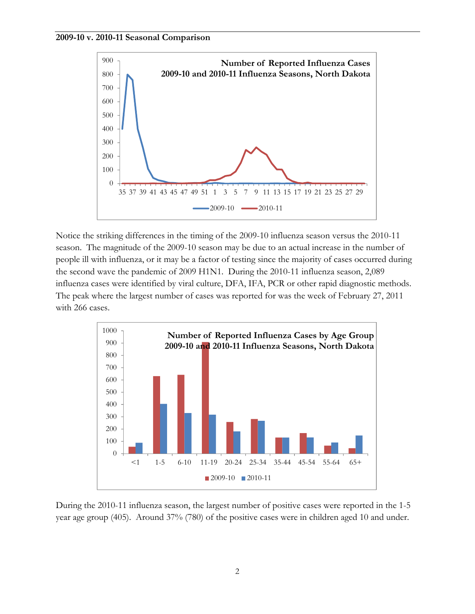

Notice the striking differences in the timing of the 2009-10 influenza season versus the 2010-11 season. The magnitude of the 2009-10 season may be due to an actual increase in the number of people ill with influenza, or it may be a factor of testing since the majority of cases occurred during the second wave the pandemic of 2009 H1N1. During the 2010-11 influenza season, 2,089 influenza cases were identified by viral culture, DFA, IFA, PCR or other rapid diagnostic methods. The peak where the largest number of cases was reported for was the week of February 27, 2011 with 266 cases.



During the 2010-11 influenza season, the largest number of positive cases were reported in the 1-5 year age group (405). Around 37% (780) of the positive cases were in children aged 10 and under.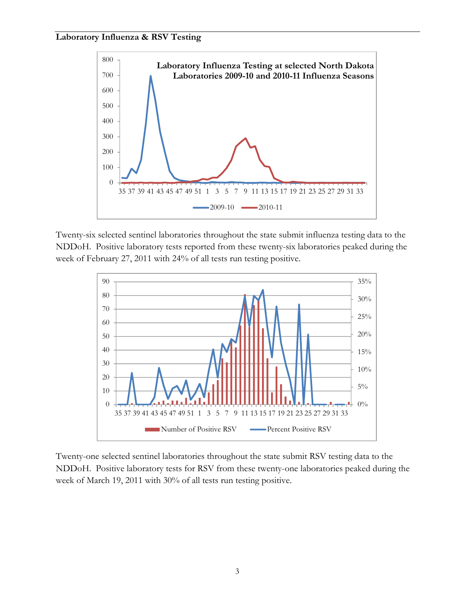## **Laboratory Influenza & RSV Testing**



Twenty-six selected sentinel laboratories throughout the state submit influenza testing data to the NDDoH. Positive laboratory tests reported from these twenty-six laboratories peaked during the week of February 27, 2011 with 24% of all tests run testing positive.



Twenty-one selected sentinel laboratories throughout the state submit RSV testing data to the NDDoH. Positive laboratory tests for RSV from these twenty-one laboratories peaked during the week of March 19, 2011 with 30% of all tests run testing positive.